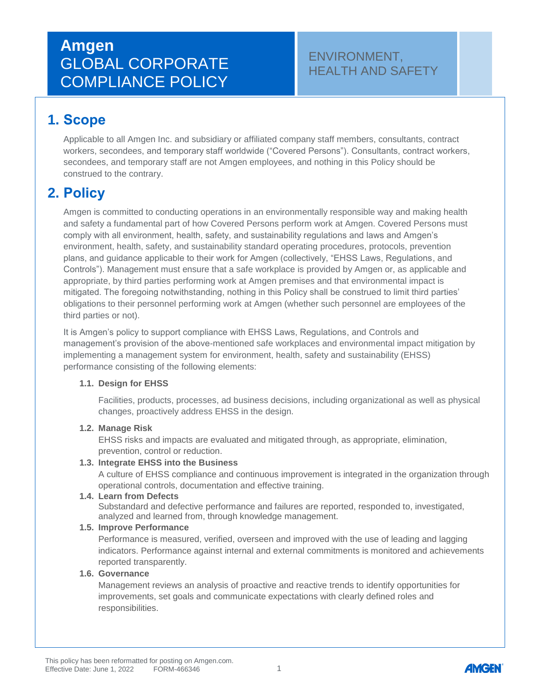# **Amgen** GLOBAL CORPORATE COMPLIANCE POLICY

### ENVIRONMENT, HEALTH AND SAFETY

## **1. Scope**

Applicable to all Amgen Inc. and subsidiary or affiliated company staff members, consultants, contract workers, secondees, and temporary staff worldwide ("Covered Persons"). Consultants, contract workers, secondees, and temporary staff are not Amgen employees, and nothing in this Policy should be construed to the contrary.

## **2. Policy**

Amgen is committed to conducting operations in an environmentally responsible way and making health and safety a fundamental part of how Covered Persons perform work at Amgen. Covered Persons must comply with all environment, health, safety, and sustainability regulations and laws and Amgen's environment, health, safety, and sustainability standard operating procedures, protocols, prevention plans, and guidance applicable to their work for Amgen (collectively, "EHSS Laws, Regulations, and Controls"). Management must ensure that a safe workplace is provided by Amgen or, as applicable and appropriate, by third parties performing work at Amgen premises and that environmental impact is mitigated. The foregoing notwithstanding, nothing in this Policy shall be construed to limit third parties' obligations to their personnel performing work at Amgen (whether such personnel are employees of the third parties or not).

It is Amgen's policy to support compliance with EHSS Laws, Regulations, and Controls and management's provision of the above-mentioned safe workplaces and environmental impact mitigation by implementing a management system for environment, health, safety and sustainability (EHSS) performance consisting of the following elements:

#### **1.1. Design for EHSS**

Facilities, products, processes, ad business decisions, including organizational as well as physical changes, proactively address EHSS in the design.

#### **1.2. Manage Risk**

EHSS risks and impacts are evaluated and mitigated through, as appropriate, elimination, prevention, control or reduction.

#### **1.3. Integrate EHSS into the Business**

A culture of EHSS compliance and continuous improvement is integrated in the organization through operational controls, documentation and effective training.

#### **1.4. Learn from Defects**

Substandard and defective performance and failures are reported, responded to, investigated, analyzed and learned from, through knowledge management.

#### **1.5. Improve Performance**

Performance is measured, verified, overseen and improved with the use of leading and lagging indicators. Performance against internal and external commitments is monitored and achievements reported transparently.

#### **1.6. Governance**

Management reviews an analysis of proactive and reactive trends to identify opportunities for improvements, set goals and communicate expectations with clearly defined roles and responsibilities.